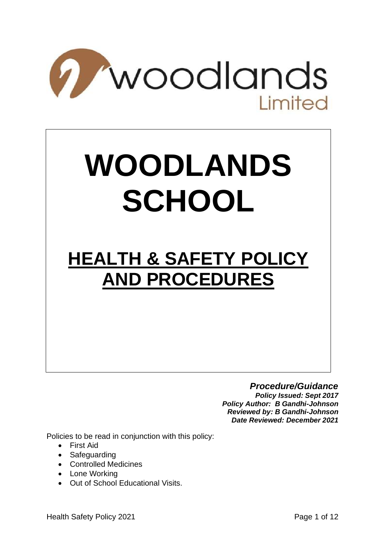

# **WOODLANDS SCHOOL**

# **HEALTH & SAFETY POLICY AND PROCEDURES**

# *Procedure/Guidance*

*Policy Issued: Sept 2017 Policy Author: B Gandhi-Johnson Reviewed by: B Gandhi-Johnson Date Reviewed: December 2021*

Policies to be read in conjunction with this policy:

- First Aid
- Safeguarding
- Controlled Medicines
- Lone Working
- Out of School Educational Visits.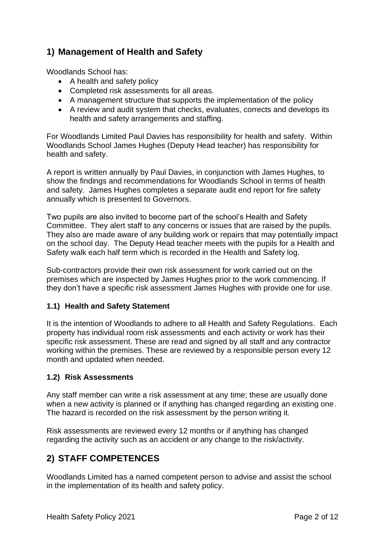# **1) Management of Health and Safety**

Woodlands School has:

- A health and safety policy
- Completed risk assessments for all areas.
- A management structure that supports the implementation of the policy
- A review and audit system that checks, evaluates, corrects and develops its health and safety arrangements and staffing.

For Woodlands Limited Paul Davies has responsibility for health and safety. Within Woodlands School James Hughes (Deputy Head teacher) has responsibility for health and safety.

A report is written annually by Paul Davies, in conjunction with James Hughes, to show the findings and recommendations for Woodlands School in terms of health and safety. James Hughes completes a separate audit end report for fire safety annually which is presented to Governors.

Two pupils are also invited to become part of the school's Health and Safety Committee. They alert staff to any concerns or issues that are raised by the pupils. They also are made aware of any building work or repairs that may potentially impact on the school day. The Deputy Head teacher meets with the pupils for a Health and Safety walk each half term which is recorded in the Health and Safety log.

Sub-contractors provide their own risk assessment for work carried out on the premises which are inspected by James Hughes prior to the work commencing. If they don't have a specific risk assessment James Hughes with provide one for use.

#### **1.1) Health and Safety Statement**

It is the intention of Woodlands to adhere to all Health and Safety Regulations. Each property has individual room risk assessments and each activity or work has their specific risk assessment. These are read and signed by all staff and any contractor working within the premises. These are reviewed by a responsible person every 12 month and updated when needed.

#### **1.2) Risk Assessments**

Any staff member can write a risk assessment at any time; these are usually done when a new activity is planned or if anything has changed regarding an existing one. The hazard is recorded on the risk assessment by the person writing it.

Risk assessments are reviewed every 12 months or if anything has changed regarding the activity such as an accident or any change to the risk/activity.

# **2) STAFF COMPETENCES**

Woodlands Limited has a named competent person to advise and assist the school in the implementation of its health and safety policy.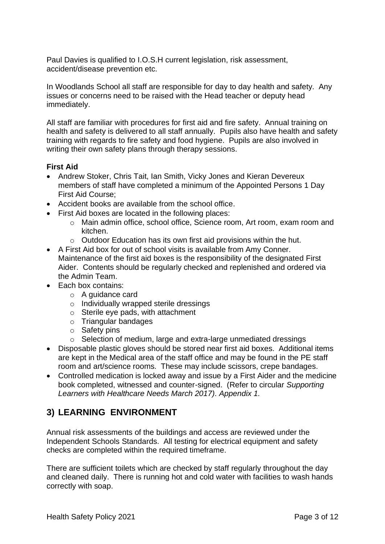Paul Davies is qualified to I.O.S.H current legislation, risk assessment, accident/disease prevention etc.

In Woodlands School all staff are responsible for day to day health and safety. Any issues or concerns need to be raised with the Head teacher or deputy head immediately.

All staff are familiar with procedures for first aid and fire safety. Annual training on health and safety is delivered to all staff annually. Pupils also have health and safety training with regards to fire safety and food hygiene. Pupils are also involved in writing their own safety plans through therapy sessions.

#### **First Aid**

- Andrew Stoker, Chris Tait, Ian Smith, Vicky Jones and Kieran Devereux members of staff have completed a minimum of the Appointed Persons 1 Day First Aid Course;
- Accident books are available from the school office.
- First Aid boxes are located in the following places:
	- o Main admin office, school office, Science room, Art room, exam room and kitchen.
	- $\circ$  Outdoor Education has its own first aid provisions within the hut.
- A First Aid box for out of school visits is available from Amy Conner. Maintenance of the first aid boxes is the responsibility of the designated First Aider. Contents should be regularly checked and replenished and ordered via the Admin Team.
- Each box contains:
	- o A guidance card
	- o Individually wrapped sterile dressings
	- o Sterile eye pads, with attachment
	- o Triangular bandages
	- o Safety pins
	- o Selection of medium, large and extra-large unmediated dressings
- Disposable plastic gloves should be stored near first aid boxes. Additional items are kept in the Medical area of the staff office and may be found in the PE staff room and art/science rooms. These may include scissors, crepe bandages.
- Controlled medication is locked away and issue by a First Aider and the medicine book completed, witnessed and counter-signed. (Refer to circular *Supporting Learners with Healthcare Needs March 2017). Appendix 1.*

# **3) LEARNING ENVIRONMENT**

Annual risk assessments of the buildings and access are reviewed under the Independent Schools Standards. All testing for electrical equipment and safety checks are completed within the required timeframe.

There are sufficient toilets which are checked by staff regularly throughout the day and cleaned daily. There is running hot and cold water with facilities to wash hands correctly with soap.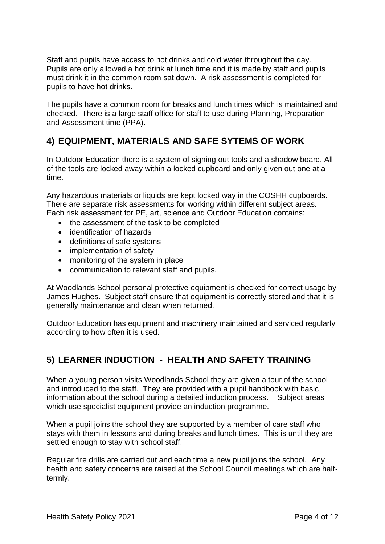Staff and pupils have access to hot drinks and cold water throughout the day. Pupils are only allowed a hot drink at lunch time and it is made by staff and pupils must drink it in the common room sat down. A risk assessment is completed for pupils to have hot drinks.

The pupils have a common room for breaks and lunch times which is maintained and checked. There is a large staff office for staff to use during Planning, Preparation and Assessment time (PPA).

# **4) EQUIPMENT, MATERIALS AND SAFE SYTEMS OF WORK**

In Outdoor Education there is a system of signing out tools and a shadow board. All of the tools are locked away within a locked cupboard and only given out one at a time.

Any hazardous materials or liquids are kept locked way in the COSHH cupboards. There are separate risk assessments for working within different subject areas. Each risk assessment for PE, art, science and Outdoor Education contains:

- the assessment of the task to be completed
- identification of hazards
- definitions of safe systems
- implementation of safety
- monitoring of the system in place
- communication to relevant staff and pupils.

At Woodlands School personal protective equipment is checked for correct usage by James Hughes. Subject staff ensure that equipment is correctly stored and that it is generally maintenance and clean when returned.

Outdoor Education has equipment and machinery maintained and serviced regularly according to how often it is used.

# **5) LEARNER INDUCTION - HEALTH AND SAFETY TRAINING**

When a young person visits Woodlands School they are given a tour of the school and introduced to the staff. They are provided with a pupil handbook with basic information about the school during a detailed induction process. Subject areas which use specialist equipment provide an induction programme.

When a pupil joins the school they are supported by a member of care staff who stays with them in lessons and during breaks and lunch times. This is until they are settled enough to stay with school staff.

Regular fire drills are carried out and each time a new pupil joins the school. Any health and safety concerns are raised at the School Council meetings which are halftermly.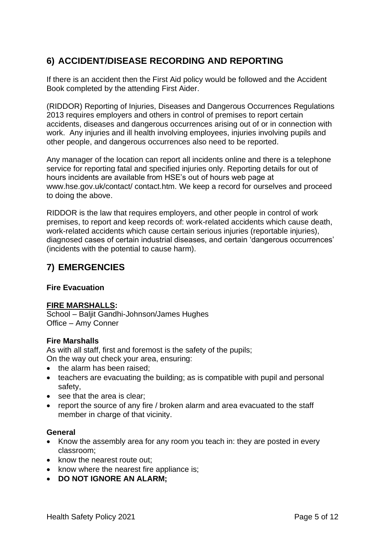# **6) ACCIDENT/DISEASE RECORDING AND REPORTING**

If there is an accident then the First Aid policy would be followed and the Accident Book completed by the attending First Aider.

(RIDDOR) Reporting of Injuries, Diseases and Dangerous Occurrences Regulations 2013 requires employers and others in control of premises to report certain accidents, diseases and dangerous occurrences arising out of or in connection with work. Any injuries and ill health involving employees, injuries involving pupils and other people, and dangerous occurrences also need to be reported.

Any manager of the location can report all incidents online and there is a telephone service for reporting fatal and specified injuries only. Reporting details for out of hours incidents are available from HSE's out of hours web page at www.hse.gov.uk/contact/ contact.htm. We keep a record for ourselves and proceed to doing the above.

RIDDOR is the law that requires employers, and other people in control of work premises, to report and keep records of: work-related accidents which cause death, work-related accidents which cause certain serious injuries (reportable injuries), diagnosed cases of certain industrial diseases, and certain 'dangerous occurrences' (incidents with the potential to cause harm).

# **7) EMERGENCIES**

#### **Fire Evacuation**

#### **FIRE MARSHALLS:**

School – Baljit Gandhi-Johnson/James Hughes Office – Amy Conner

#### **Fire Marshalls**

As with all staff, first and foremost is the safety of the pupils; On the way out check your area, ensuring:

- the alarm has been raised;
- teachers are evacuating the building; as is compatible with pupil and personal safety,
- see that the area is clear;
- report the source of any fire / broken alarm and area evacuated to the staff member in charge of that vicinity.

#### **General**

- Know the assembly area for any room you teach in: they are posted in every classroom;
- know the nearest route out;
- know where the nearest fire appliance is;
- **DO NOT IGNORE AN ALARM;**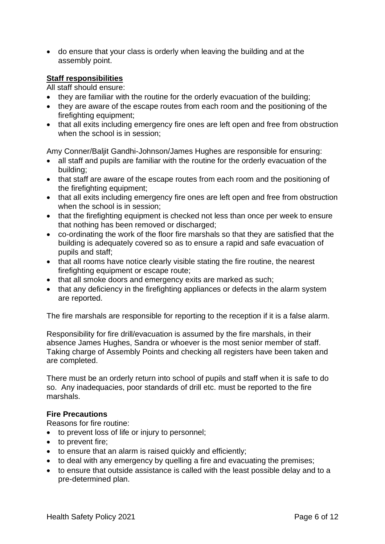• do ensure that your class is orderly when leaving the building and at the assembly point.

#### **Staff responsibilities**

All staff should ensure:

- they are familiar with the routine for the orderly evacuation of the building:
- they are aware of the escape routes from each room and the positioning of the firefighting equipment;
- that all exits including emergency fire ones are left open and free from obstruction when the school is in session;

Amy Conner/Baljit Gandhi-Johnson/James Hughes are responsible for ensuring:

- all staff and pupils are familiar with the routine for the orderly evacuation of the building;
- that staff are aware of the escape routes from each room and the positioning of the firefighting equipment;
- that all exits including emergency fire ones are left open and free from obstruction when the school is in session:
- that the firefighting equipment is checked not less than once per week to ensure that nothing has been removed or discharged;
- co-ordinating the work of the floor fire marshals so that they are satisfied that the building is adequately covered so as to ensure a rapid and safe evacuation of pupils and staff;
- that all rooms have notice clearly visible stating the fire routine, the nearest firefighting equipment or escape route;
- that all smoke doors and emergency exits are marked as such;
- that any deficiency in the firefighting appliances or defects in the alarm system are reported.

The fire marshals are responsible for reporting to the reception if it is a false alarm.

Responsibility for fire drill/evacuation is assumed by the fire marshals, in their absence James Hughes, Sandra or whoever is the most senior member of staff. Taking charge of Assembly Points and checking all registers have been taken and are completed.

There must be an orderly return into school of pupils and staff when it is safe to do so. Any inadequacies, poor standards of drill etc. must be reported to the fire marshals.

#### **Fire Precautions**

Reasons for fire routine:

- to prevent loss of life or injury to personnel;
- to prevent fire:
- to ensure that an alarm is raised quickly and efficiently:
- to deal with any emergency by quelling a fire and evacuating the premises;
- to ensure that outside assistance is called with the least possible delay and to a pre-determined plan.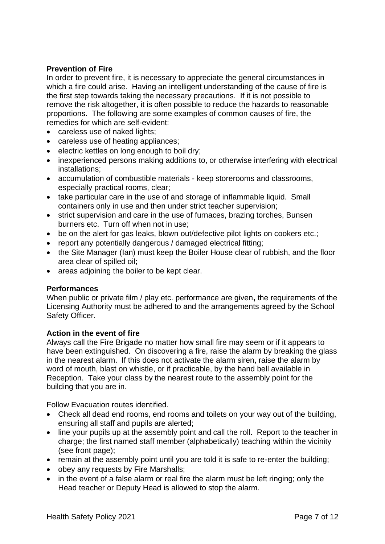#### **Prevention of Fire**

In order to prevent fire, it is necessary to appreciate the general circumstances in which a fire could arise. Having an intelligent understanding of the cause of fire is the first step towards taking the necessary precautions. If it is not possible to remove the risk altogether, it is often possible to reduce the hazards to reasonable proportions. The following are some examples of common causes of fire, the remedies for which are self-evident:

- careless use of naked lights;
- careless use of heating appliances;
- electric kettles on long enough to boil dry;
- inexperienced persons making additions to, or otherwise interfering with electrical installations;
- accumulation of combustible materials keep storerooms and classrooms, especially practical rooms, clear;
- take particular care in the use of and storage of inflammable liquid. Small containers only in use and then under strict teacher supervision;
- strict supervision and care in the use of furnaces, brazing torches, Bunsen burners etc. Turn off when not in use;
- be on the alert for gas leaks, blown out/defective pilot lights on cookers etc.;
- report any potentially dangerous / damaged electrical fitting;
- the Site Manager (Ian) must keep the Boiler House clear of rubbish, and the floor area clear of spilled oil;
- areas adjoining the boiler to be kept clear.

#### **Performances**

When public or private film / play etc. performance are given**,** the requirements of the Licensing Authority must be adhered to and the arrangements agreed by the School Safety Officer.

#### **Action in the event of fire**

Always call the Fire Brigade no matter how small fire may seem or if it appears to have been extinguished. On discovering a fire, raise the alarm by breaking the glass in the nearest alarm. If this does not activate the alarm siren, raise the alarm by word of mouth, blast on whistle, or if practicable, by the hand bell available in Reception. Take your class by the nearest route to the assembly point for the building that you are in.

Follow Evacuation routes identified.

- Check all dead end rooms, end rooms and toilets on your way out of the building, ensuring all staff and pupils are alerted;
- line your pupils up at the assembly point and call the roll. Report to the teacher in charge; the first named staff member (alphabetically) teaching within the vicinity (see front page);
- remain at the assembly point until you are told it is safe to re-enter the building;
- obey any requests by Fire Marshalls;
- in the event of a false alarm or real fire the alarm must be left ringing; only the Head teacher or Deputy Head is allowed to stop the alarm.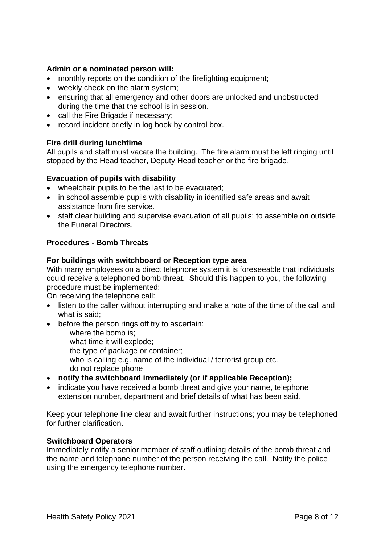#### **Admin or a nominated person will:**

- monthly reports on the condition of the firefighting equipment;
- weekly check on the alarm system;
- ensuring that all emergency and other doors are unlocked and unobstructed during the time that the school is in session.
- call the Fire Brigade if necessary;
- record incident briefly in log book by control box.

#### **Fire drill during lunchtime**

All pupils and staff must vacate the building. The fire alarm must be left ringing until stopped by the Head teacher, Deputy Head teacher or the fire brigade.

#### **Evacuation of pupils with disability**

- wheelchair pupils to be the last to be evacuated;
- in school assemble pupils with disability in identified safe areas and await assistance from fire service.
- staff clear building and supervise evacuation of all pupils; to assemble on outside the Funeral Directors.

#### **Procedures - Bomb Threats**

#### **For buildings with switchboard or Reception type area**

With many employees on a direct telephone system it is foreseeable that individuals could receive a telephoned bomb threat. Should this happen to you, the following procedure must be implemented:

On receiving the telephone call:

- listen to the caller without interrupting and make a note of the time of the call and what is said;
- before the person rings off try to ascertain:
	- where the bomb is;
	- what time it will explode;

the type of package or container;

- who is calling e.g. name of the individual / terrorist group etc. do not replace phone
- **notify the switchboard immediately (or if applicable Reception);**
- indicate you have received a bomb threat and give your name, telephone extension number, department and brief details of what has been said.

Keep your telephone line clear and await further instructions; you may be telephoned for further clarification.

#### **Switchboard Operators**

Immediately notify a senior member of staff outlining details of the bomb threat and the name and telephone number of the person receiving the call. Notify the police using the emergency telephone number.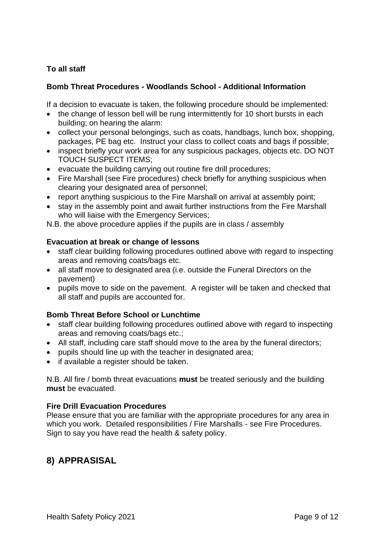#### **To all staff**

#### **Bomb Threat Procedures - Woodlands School - Additional Information**

If a decision to evacuate is taken, the following procedure should be implemented:

- the change of lesson bell will be rung intermittently for 10 short bursts in each building; on hearing the alarm:
- collect your personal belongings, such as coats, handbags, lunch box, shopping, packages, PE bag etc. Instruct your class to collect coats and bags if possible;
- inspect briefly your work area for any suspicious packages, objects etc. DO NOT TOUCH SUSPECT ITEMS;
- evacuate the building carrying out routine fire drill procedures;
- Fire Marshall (see Fire procedures) check briefly for anything suspicious when clearing your designated area of personnel;
- report anything suspicious to the Fire Marshall on arrival at assembly point;
- stay in the assembly point and await further instructions from the Fire Marshall who will liaise with the Emergency Services;

N.B. the above procedure applies if the pupils are in class / assembly

#### **Evacuation at break or change of lessons**

- staff clear building following procedures outlined above with regard to inspecting areas and removing coats/bags etc.
- all staff move to designated area (i.e. outside the Funeral Directors on the pavement)
- pupils move to side on the pavement. A register will be taken and checked that all staff and pupils are accounted for.

#### **Bomb Threat Before School or Lunchtime**

- staff clear building following procedures outlined above with regard to inspecting areas and removing coats/bags etc.;
- All staff, including care staff should move to the area by the funeral directors;
- pupils should line up with the teacher in designated area;
- if available a register should be taken.

N.B. All fire / bomb threat evacuations **must** be treated seriously and the building **must** be evacuated.

#### **Fire Drill Evacuation Procedures**

Please ensure that you are familiar with the appropriate procedures for any area in which you work. Detailed responsibilities / Fire Marshalls - see Fire Procedures. Sign to say you have read the health & safety policy.

#### **8) APPRASISAL**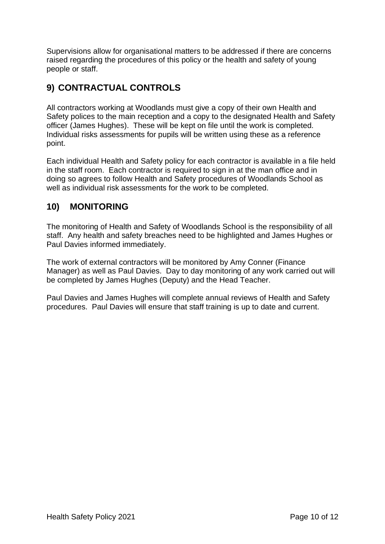Supervisions allow for organisational matters to be addressed if there are concerns raised regarding the procedures of this policy or the health and safety of young people or staff.

# **9) CONTRACTUAL CONTROLS**

All contractors working at Woodlands must give a copy of their own Health and Safety polices to the main reception and a copy to the designated Health and Safety officer (James Hughes). These will be kept on file until the work is completed. Individual risks assessments for pupils will be written using these as a reference point.

Each individual Health and Safety policy for each contractor is available in a file held in the staff room. Each contractor is required to sign in at the man office and in doing so agrees to follow Health and Safety procedures of Woodlands School as well as individual risk assessments for the work to be completed.

# **10) MONITORING**

The monitoring of Health and Safety of Woodlands School is the responsibility of all staff. Any health and safety breaches need to be highlighted and James Hughes or Paul Davies informed immediately.

The work of external contractors will be monitored by Amy Conner (Finance Manager) as well as Paul Davies. Day to day monitoring of any work carried out will be completed by James Hughes (Deputy) and the Head Teacher.

Paul Davies and James Hughes will complete annual reviews of Health and Safety procedures. Paul Davies will ensure that staff training is up to date and current.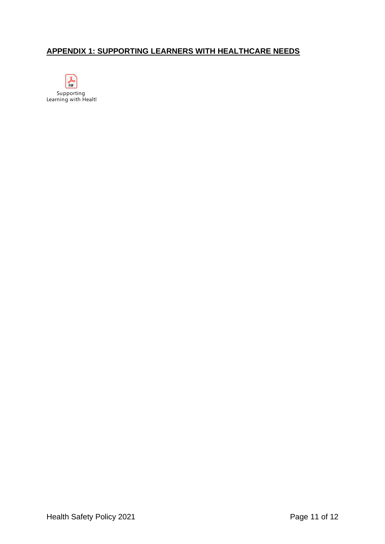#### **APPENDIX 1: SUPPORTING LEARNERS WITH HEALTHCARE NEEDS**